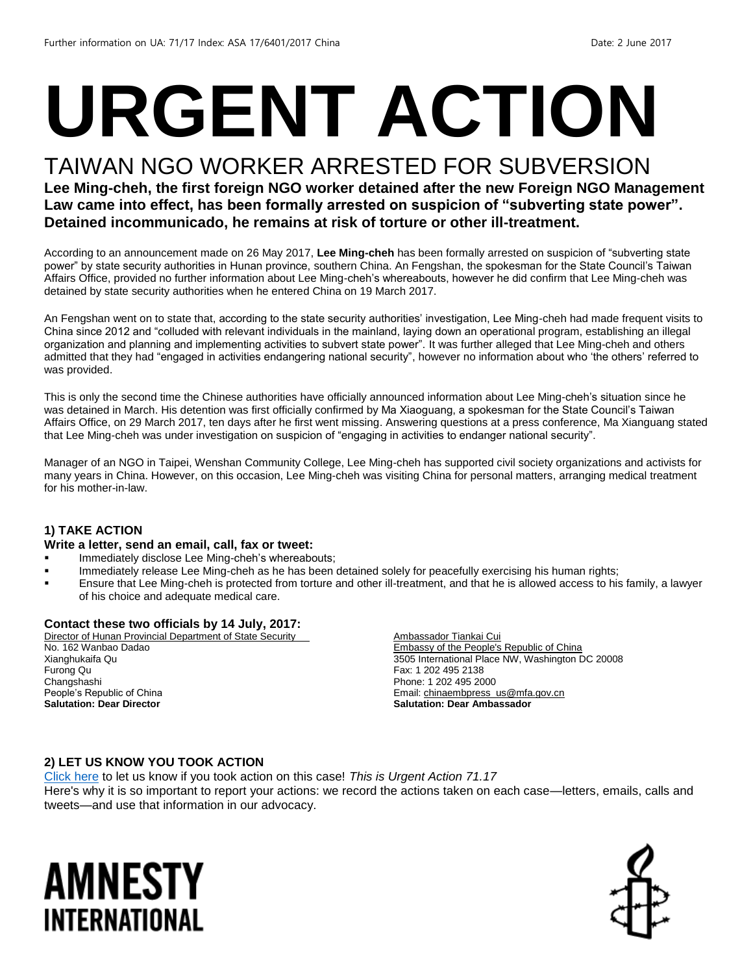# **URGENT ACTION**

## TAIWAN NGO WORKER ARRESTED FOR SUBVERSION

**Lee Ming-cheh, the first foreign NGO worker detained after the new Foreign NGO Management Law came into effect, has been formally arrested on suspicion of "subverting state power". Detained incommunicado, he remains at risk of torture or other ill-treatment.**

According to an announcement made on 26 May 2017, **Lee Ming-cheh** has been formally arrested on suspicion of "subverting state power" by state security authorities in Hunan province, southern China. An Fengshan, the spokesman for the State Council's Taiwan Affairs Office, provided no further information about Lee Ming-cheh's whereabouts, however he did confirm that Lee Ming-cheh was detained by state security authorities when he entered China on 19 March 2017.

An Fengshan went on to state that, according to the state security authorities' investigation, Lee Ming-cheh had made frequent visits to China since 2012 and "colluded with relevant individuals in the mainland, laying down an operational program, establishing an illegal organization and planning and implementing activities to subvert state power". It was further alleged that Lee Ming-cheh and others admitted that they had "engaged in activities endangering national security", however no information about who 'the others' referred to was provided.

This is only the second time the Chinese authorities have officially announced information about Lee Ming-cheh's situation since he was detained in March. His detention was first officially confirmed by Ma Xiaoguang, a spokesman for the State Council's Taiwan Affairs Office, on 29 March 2017, ten days after he first went missing. Answering questions at a press conference, Ma Xianguang stated that Lee Ming-cheh was under investigation on suspicion of "engaging in activities to endanger national security".

Manager of an NGO in Taipei, Wenshan Community College, Lee Ming-cheh has supported civil society organizations and activists for many years in China. However, on this occasion, Lee Ming-cheh was visiting China for personal matters, arranging medical treatment for his mother-in-law.

#### **1) TAKE ACTION**

#### **Write a letter, send an email, call, fax or tweet:**

- Immediately disclose Lee Ming-cheh's whereabouts;
- Immediately release Lee Ming-cheh as he has been detained solely for peacefully exercising his human rights;
- Ensure that Lee Ming-cheh is protected from torture and other ill-treatment, and that he is allowed access to his family, a lawyer of his choice and adequate medical care.

#### **Contact these two officials by 14 July, 2017:**

Director of Hunan Provincial Department of State Security No. 162 Wanbao Dadao Xianghukaifa Qu Furong Qu Changshashi People's Republic of China **Salutation: Dear Director**

Ambassador Tiankai Cui Embassy of the People's Republic of China 3505 International Place NW, Washington DC 20008 Fax: 1 202 495 2138 Phone: 1 202 495 2000 Email[: chinaembpress\\_us@mfa.gov.cn](mailto:chinaembpress_us@mfa.gov.cn) **Salutation: Dear Ambassador**

#### **2) LET US KNOW YOU TOOK ACTION**

[Click here](https://docs.google.com/forms/d/e/1FAIpQLSf3RUspces4lA9Gt7Fp9GiAcojCs6fnfFOTCLli3Su6c3S8ew/viewform) to let us know if you took action on this case! *This is Urgent Action 71.17* Here's why it is so important to report your actions: we record the actions taken on each case—letters, emails, calls and tweets—and use that information in our advocacy.